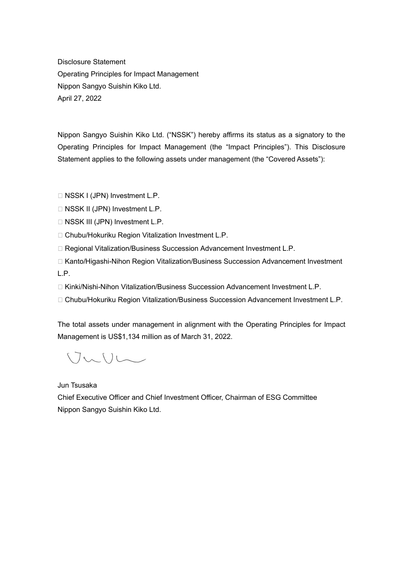Disclosure Statement Operating Principles for Impact Management Nippon Sangyo Suishin Kiko Ltd. April 27, 2022

Nippon Sangyo Suishin Kiko Ltd. ("NSSK") hereby affirms its status as a signatory to the Operating Principles for Impact Management (the "Impact Principles"). This Disclosure Statement applies to the following assets under management (the "Covered Assets"):

□ NSSK I (JPN) Investment L.P.

- □ NSSK II (JPN) Investment L.P.
- □ NSSK III (JPN) Investment L.P.
- □ Chubu/Hokuriku Region Vitalization Investment L.P.
- □ Regional Vitalization/Business Succession Advancement Investment L.P.
- □ Kanto/Higashi-Nihon Region Vitalization/Business Succession Advancement Investment L.P.
- $\Box$  Kinki/Nishi-Nihon Vitalization/Business Succession Advancement Investment L.P.
- □ Chubu/Hokuriku Region Vitalization/Business Succession Advancement Investment L.P.

The total assets under management in alignment with the Operating Principles for Impact Management is US\$1,134 million as of March 31, 2022.

VuUL

Jun Tsusaka

Chief Executive Officer and Chief Investment Officer, Chairman of ESG Committee Nippon Sangyo Suishin Kiko Ltd.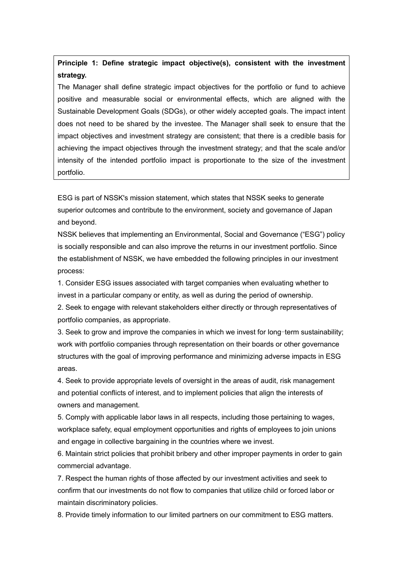**Principle 1: Define strategic impact objective(s), consistent with the investment strategy.**

The Manager shall define strategic impact objectives for the portfolio or fund to achieve positive and measurable social or environmental effects, which are aligned with the Sustainable Development Goals (SDGs), or other widely accepted goals. The impact intent does not need to be shared by the investee. The Manager shall seek to ensure that the impact objectives and investment strategy are consistent; that there is a credible basis for achieving the impact objectives through the investment strategy; and that the scale and/or intensity of the intended portfolio impact is proportionate to the size of the investment portfolio.

ESG is part of NSSK's mission statement, which states that NSSK seeks to generate superior outcomes and contribute to the environment, society and governance of Japan and beyond.

NSSK believes that implementing an Environmental, Social and Governance ("ESG") policy is socially responsible and can also improve the returns in our investment portfolio. Since the establishment of NSSK, we have embedded the following principles in our investment process:

1. Consider ESG issues associated with target companies when evaluating whether to invest in a particular company or entity, as well as during the period of ownership.

2. Seek to engage with relevant stakeholders either directly or through representatives of portfolio companies, as appropriate.

3. Seek to grow and improve the companies in which we invest for long-term sustainability; work with portfolio companies through representation on their boards or other governance structures with the goal of improving performance and minimizing adverse impacts in ESG areas.

4. Seek to provide appropriate levels of oversight in the areas of audit, risk management and potential conflicts of interest, and to implement policies that align the interests of owners and management.

5. Comply with applicable labor laws in all respects, including those pertaining to wages, workplace safety, equal employment opportunities and rights of employees to join unions and engage in collective bargaining in the countries where we invest.

6. Maintain strict policies that prohibit bribery and other improper payments in order to gain commercial advantage.

7. Respect the human rights of those affected by our investment activities and seek to confirm that our investments do not flow to companies that utilize child or forced labor or maintain discriminatory policies.

8. Provide timely information to our limited partners on our commitment to ESG matters.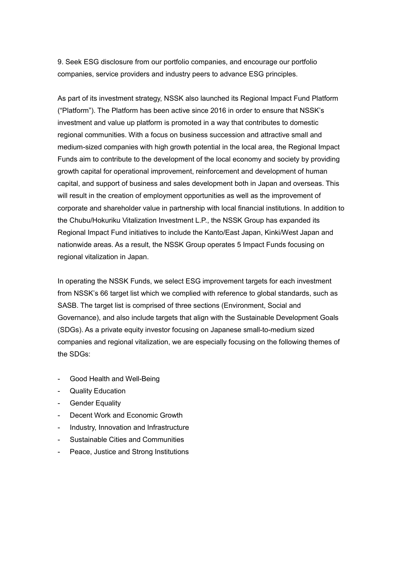9. Seek ESG disclosure from our portfolio companies, and encourage our portfolio companies, service providers and industry peers to advance ESG principles.

As part of its investment strategy, NSSK also launched its Regional Impact Fund Platform ("Platform"). The Platform has been active since 2016 in order to ensure that NSSK's investment and value up platform is promoted in a way that contributes to domestic regional communities. With a focus on business succession and attractive small and medium-sized companies with high growth potential in the local area, the Regional Impact Funds aim to contribute to the development of the local economy and society by providing growth capital for operational improvement, reinforcement and development of human capital, and support of business and sales development both in Japan and overseas. This will result in the creation of employment opportunities as well as the improvement of corporate and shareholder value in partnership with local financial institutions. In addition to the Chubu/Hokuriku Vitalization Investment L.P., the NSSK Group has expanded its Regional Impact Fund initiatives to include the Kanto/East Japan, Kinki/West Japan and nationwide areas. As a result, the NSSK Group operates 5 Impact Funds focusing on regional vitalization in Japan.

In operating the NSSK Funds, we select ESG improvement targets for each investment from NSSK's 66 target list which we complied with reference to global standards, such as SASB. The target list is comprised of three sections (Environment, Social and Governance), and also include targets that align with the Sustainable Development Goals (SDGs). As a private equity investor focusing on Japanese small-to-medium sized companies and regional vitalization, we are especially focusing on the following themes of the SDGs:

- Good Health and Well-Being
- Quality Education
- **Gender Equality**
- Decent Work and Economic Growth
- Industry, Innovation and Infrastructure
- Sustainable Cities and Communities
- Peace, Justice and Strong Institutions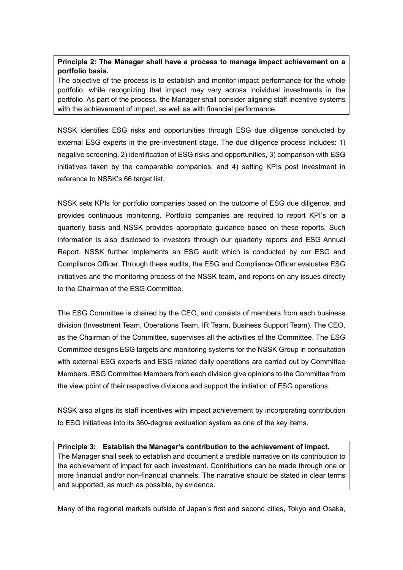## **Principle 2: The Manager shall have a process to manage impact achievement on a portfolio basis.**

The objective of the process is to establish and monitor impact performance for the whole portfolio, while recognizing that impact may vary across individual investments in the portfolio. As part of the process, the Manager shall consider aligning staff incentive systems with the achievement of impact, as well as with financial performance.

NSSK identifies ESG risks and opportunities through ESG due diligence conducted by external ESG experts in the pre-investment stage. The due diligence process includes: 1) negative screening, 2) identification of ESG risks and opportunities, 3) comparison with ESG initiatives taken by the comparable companies, and 4) setting KPIs post investment in reference to NSSK's 66 target list.

NSSK sets KPIs for portfolio companies based on the outcome of ESG due diligence, and provides continuous monitoring. Portfolio companies are required to report KPI's on a quarterly basis and NSSK provides appropriate guidance based on these reports. Such information is also disclosed to investors through our quarterly reports and ESG Annual Report. NSSK further implements an ESG audit which is conducted by our ESG and Compliance Officer. Through these audits, the ESG and Compliance Officer evaluates ESG initiatives and the monitoring process of the NSSK team, and reports on any issues directly to the Chairman of the ESG Committee.

The ESG Committee is chaired by the CEO, and consists of members from each business division (Investment Team, Operations Team, IR Team, Business Support Team). The CEO, as the Chairman of the Committee, supervises all the activities of the Committee. The ESG Committee designs ESG targets and monitoring systems for the NSSK Group in consultation with external ESG experts and ESG related daily operations are carried out by Committee Members. ESG Committee Members from each division give opinions to the Committee from the view point of their respective divisions and support the initiation of ESG operations.

NSSK also aligns its staff incentives with impact achievement by incorporating contribution to ESG initiatives into its 360-degree evaluation system as one of the key items.

**Principle 3: Establish the Manager's contribution to the achievement of impact.** The Manager shall seek to establish and document a credible narrative on its contribution to the achievement of impact for each investment. Contributions can be made through one or more financial and/or non-financial channels. The narrative should be stated in clear terms and supported, as much as possible, by evidence.

Many of the regional markets outside of Japan's first and second cities, Tokyo and Osaka,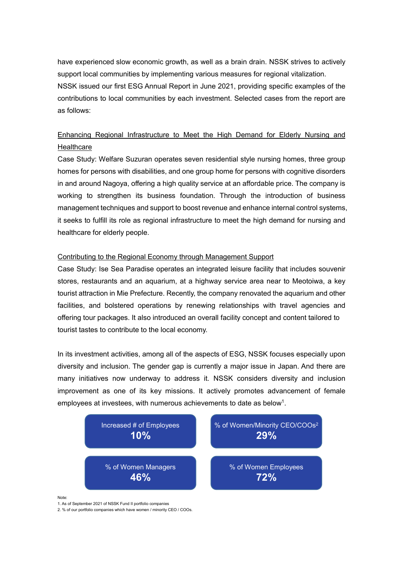have experienced slow economic growth, as well as a brain drain. NSSK strives to actively support local communities by implementing various measures for regional vitalization. NSSK issued our first ESG Annual Report in June 2021, providing specific examples of the contributions to local communities by each investment. Selected cases from the report are as follows:

# Enhancing Regional Infrastructure to Meet the High Demand for Elderly Nursing and **Healthcare**

Case Study: Welfare Suzuran operates seven residential style nursing homes, three group homes for persons with disabilities, and one group home for persons with cognitive disorders in and around Nagoya, offering a high quality service at an affordable price. The company is working to strengthen its business foundation. Through the introduction of business management techniques and support to boost revenue and enhance internal control systems, it seeks to fulfill its role as regional infrastructure to meet the high demand for nursing and healthcare for elderly people.

#### Contributing to the Regional Economy through Management Support

Case Study: Ise Sea Paradise operates an integrated leisure facility that includes souvenir stores, restaurants and an aquarium, at a highway service area near to Meotoiwa, a key tourist attraction in Mie Prefecture. Recently, the company renovated the aquarium and other facilities, and bolstered operations by renewing relationships with travel agencies and offering tour packages. It also introduced an overall facility concept and content tailored to tourist tastes to contribute to the local economy.

In its investment activities, among all of the aspects of ESG, NSSK focuses especially upon diversity and inclusion. The gender gap is currently a major issue in Japan. And there are many initiatives now underway to address it. NSSK considers diversity and inclusion improvement as one of its key missions. It actively promotes advancement of female employees at investees, with numerous achievements to date as below<sup>1</sup>.



Note:

1. As of September 2021 of NSSK Fund II portfolio companies

2. % of our portfolio companies which have women / minority CEO / COOs.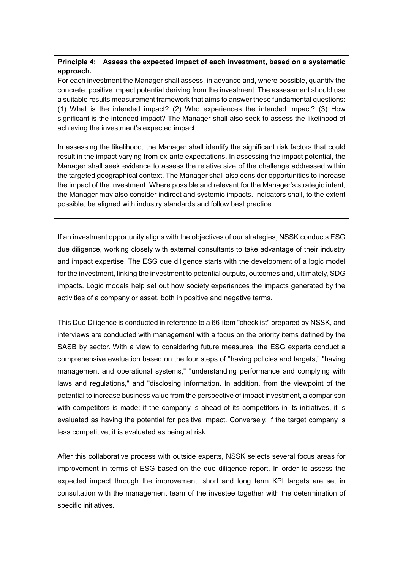## **Principle 4: Assess the expected impact of each investment, based on a systematic approach.**

For each investment the Manager shall assess, in advance and, where possible, quantify the concrete, positive impact potential deriving from the investment. The assessment should use a suitable results measurement framework that aims to answer these fundamental questions: (1) What is the intended impact? (2) Who experiences the intended impact? (3) How significant is the intended impact? The Manager shall also seek to assess the likelihood of achieving the investment's expected impact.

In assessing the likelihood, the Manager shall identify the significant risk factors that could result in the impact varying from ex-ante expectations. In assessing the impact potential, the Manager shall seek evidence to assess the relative size of the challenge addressed within the targeted geographical context. The Manager shall also consider opportunities to increase the impact of the investment. Where possible and relevant for the Manager's strategic intent, the Manager may also consider indirect and systemic impacts. Indicators shall, to the extent possible, be aligned with industry standards and follow best practice.

If an investment opportunity aligns with the objectives of our strategies, NSSK conducts ESG due diligence, working closely with external consultants to take advantage of their industry and impact expertise. The ESG due diligence starts with the development of a logic model for the investment, linking the investment to potential outputs, outcomes and, ultimately, SDG impacts. Logic models help set out how society experiences the impacts generated by the activities of a company or asset, both in positive and negative terms.

This Due Diligence is conducted in reference to a 66-item "checklist" prepared by NSSK, and interviews are conducted with management with a focus on the priority items defined by the SASB by sector. With a view to considering future measures, the ESG experts conduct a comprehensive evaluation based on the four steps of "having policies and targets," "having management and operational systems," "understanding performance and complying with laws and regulations," and "disclosing information. In addition, from the viewpoint of the potential to increase business value from the perspective of impact investment, a comparison with competitors is made; if the company is ahead of its competitors in its initiatives, it is evaluated as having the potential for positive impact. Conversely, if the target company is less competitive, it is evaluated as being at risk.

After this collaborative process with outside experts, NSSK selects several focus areas for improvement in terms of ESG based on the due diligence report. In order to assess the expected impact through the improvement, short and long term KPI targets are set in consultation with the management team of the investee together with the determination of specific initiatives.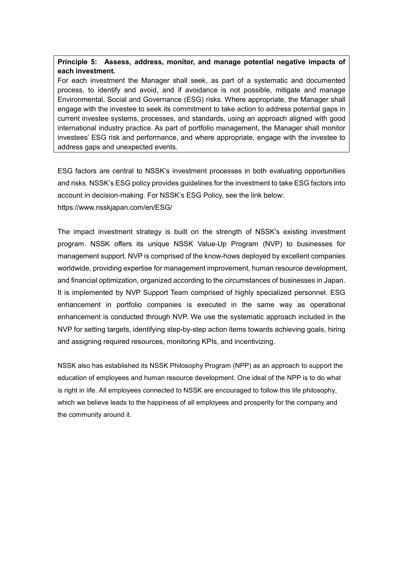#### **Principle 5: Assess, address, monitor, and manage potential negative impacts of each investment.**

For each investment the Manager shall seek, as part of a systematic and documented process, to identify and avoid, and if avoidance is not possible, mitigate and manage Environmental, Social and Governance (ESG) risks. Where appropriate, the Manager shall engage with the investee to seek its commitment to take action to address potential gaps in current investee systems, processes, and standards, using an approach aligned with good international industry practice. As part of portfolio management, the Manager shall monitor investees' ESG risk and performance, and where appropriate, engage with the investee to address gaps and unexpected events.

ESG factors are central to NSSK's investment processes in both evaluating opportunities and risks. NSSK's ESG policy provides guidelines for the investment to take ESG factors into account in decision-making. For NSSK's ESG Policy, see the link below: https://www.nsskjapan.com/en/ESG/

The impact investment strategy is built on the strength of NSSK's existing investment program. NSSK offers its unique NSSK Value-Up Program (NVP) to businesses for management support. NVP is comprised of the know-hows deployed by excellent companies worldwide, providing expertise for management improvement, human resource development, and financial optimization, organized according to the circumstances of businesses in Japan. It is implemented by NVP Support Team comprised of highly specialized personnel. ESG enhancement in portfolio companies is executed in the same way as operational enhancement is conducted through NVP. We use the systematic approach included in the NVP for setting targets, identifying step-by-step action items towards achieving goals, hiring and assigning required resources, monitoring KPIs, and incentivizing.

NSSK also has established its NSSK Philosophy Program (NPP) as an approach to support the education of employees and human resource development. One ideal of the NPP is to do what is right in life. All employees connected to NSSK are encouraged to follow this life philosophy, which we believe leads to the happiness of all employees and prosperity for the company and the community around it.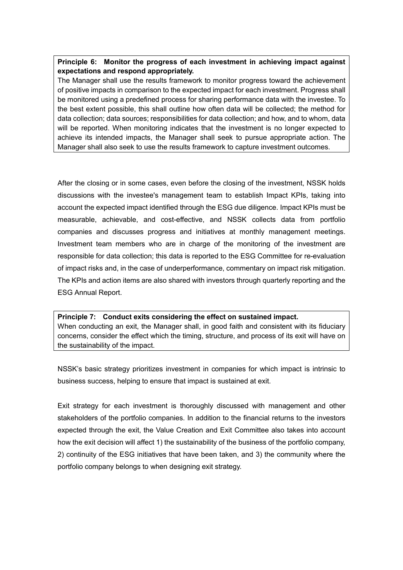## **Principle 6: Monitor the progress of each investment in achieving impact against expectations and respond appropriately.**

The Manager shall use the results framework to monitor progress toward the achievement of positive impacts in comparison to the expected impact for each investment. Progress shall be monitored using a predefined process for sharing performance data with the investee. To the best extent possible, this shall outline how often data will be collected; the method for data collection; data sources; responsibilities for data collection; and how, and to whom, data will be reported. When monitoring indicates that the investment is no longer expected to achieve its intended impacts, the Manager shall seek to pursue appropriate action. The Manager shall also seek to use the results framework to capture investment outcomes.

After the closing or in some cases, even before the closing of the investment, NSSK holds discussions with the investee's management team to establish Impact KPIs, taking into account the expected impact identified through the ESG due diligence. Impact KPIs must be measurable, achievable, and cost-effective, and NSSK collects data from portfolio companies and discusses progress and initiatives at monthly management meetings. Investment team members who are in charge of the monitoring of the investment are responsible for data collection; this data is reported to the ESG Committee for re-evaluation of impact risks and, in the case of underperformance, commentary on impact risk mitigation. The KPIs and action items are also shared with investors through quarterly reporting and the ESG Annual Report.

#### **Principle 7: Conduct exits considering the effect on sustained impact.** When conducting an exit, the Manager shall, in good faith and consistent with its fiduciary concerns, consider the effect which the timing, structure, and process of its exit will have on the sustainability of the impact.

NSSK's basic strategy prioritizes investment in companies for which impact is intrinsic to business success, helping to ensure that impact is sustained at exit.

Exit strategy for each investment is thoroughly discussed with management and other stakeholders of the portfolio companies. In addition to the financial returns to the investors expected through the exit, the Value Creation and Exit Committee also takes into account how the exit decision will affect 1) the sustainability of the business of the portfolio company, 2) continuity of the ESG initiatives that have been taken, and 3) the community where the portfolio company belongs to when designing exit strategy.